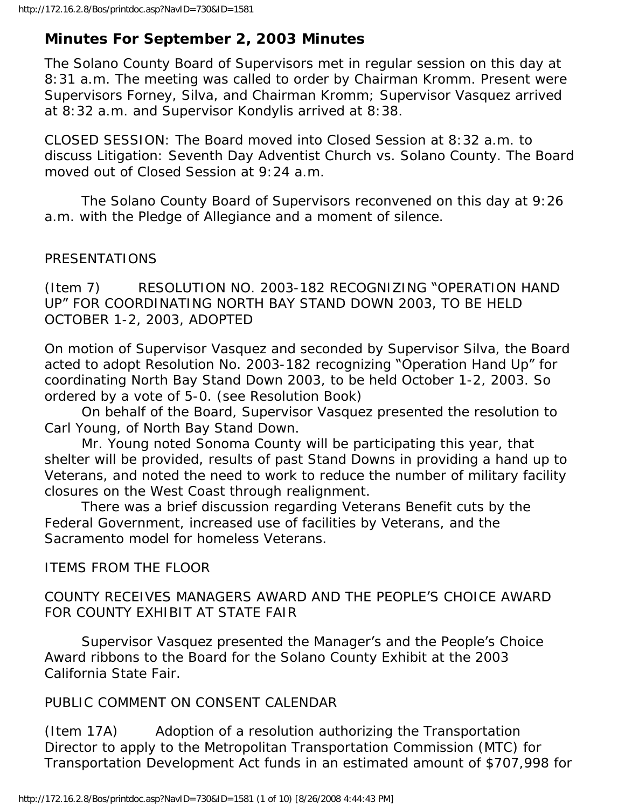# **Minutes For September 2, 2003 Minutes**

The Solano County Board of Supervisors met in regular session on this day at 8:31 a.m. The meeting was called to order by Chairman Kromm. Present were Supervisors Forney, Silva, and Chairman Kromm; Supervisor Vasquez arrived at 8:32 a.m. and Supervisor Kondylis arrived at 8:38.

CLOSED SESSION: The Board moved into Closed Session at 8:32 a.m. to discuss Litigation: Seventh Day Adventist Church vs. Solano County. The Board moved out of Closed Session at 9:24 a.m.

 The Solano County Board of Supervisors reconvened on this day at 9:26 a.m. with the Pledge of Allegiance and a moment of silence.

### PRESENTATIONS

(Item 7) RESOLUTION NO. 2003-182 RECOGNIZING "OPERATION HAND UP" FOR COORDINATING NORTH BAY STAND DOWN 2003, TO BE HELD OCTOBER 1-2, 2003, ADOPTED

On motion of Supervisor Vasquez and seconded by Supervisor Silva, the Board acted to adopt Resolution No. 2003-182 recognizing "Operation Hand Up" for coordinating North Bay Stand Down 2003, to be held October 1-2, 2003. So ordered by a vote of 5-0. (see Resolution Book)

 On behalf of the Board, Supervisor Vasquez presented the resolution to Carl Young, of North Bay Stand Down.

 Mr. Young noted Sonoma County will be participating this year, that shelter will be provided, results of past Stand Downs in providing a hand up to Veterans, and noted the need to work to reduce the number of military facility closures on the West Coast through realignment.

 There was a brief discussion regarding Veterans Benefit cuts by the Federal Government, increased use of facilities by Veterans, and the Sacramento model for homeless Veterans.

ITEMS FROM THE FLOOR

COUNTY RECEIVES MANAGERS AWARD AND THE PEOPLE'S CHOICE AWARD FOR COUNTY EXHIBIT AT STATE FAIR

 Supervisor Vasquez presented the Manager's and the People's Choice Award ribbons to the Board for the Solano County Exhibit at the 2003 California State Fair.

## PUBLIC COMMENT ON CONSENT CALENDAR

(Item 17A) Adoption of a resolution authorizing the Transportation Director to apply to the Metropolitan Transportation Commission (MTC) for Transportation Development Act funds in an estimated amount of \$707,998 for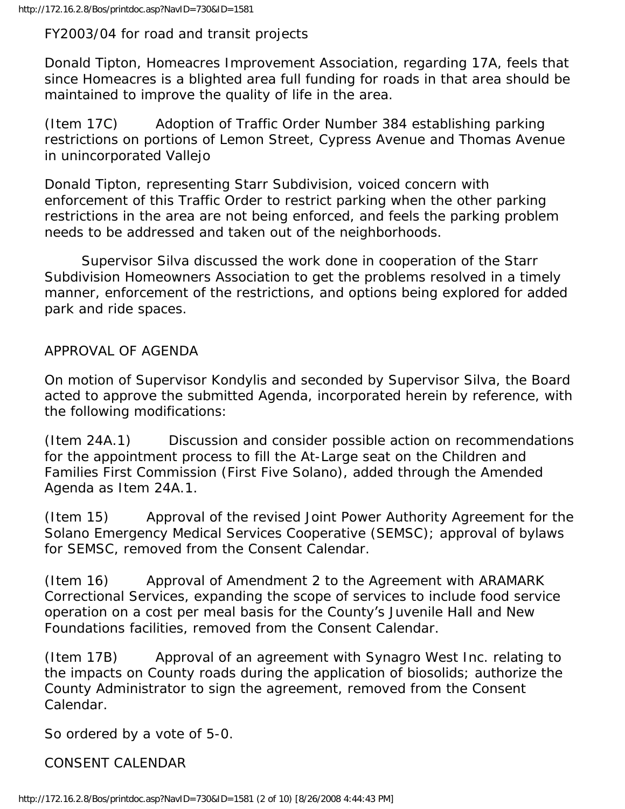FY2003/04 for road and transit projects

Donald Tipton, Homeacres Improvement Association, regarding 17A, feels that since Homeacres is a blighted area full funding for roads in that area should be maintained to improve the quality of life in the area.

(Item 17C) Adoption of Traffic Order Number 384 establishing parking restrictions on portions of Lemon Street, Cypress Avenue and Thomas Avenue in unincorporated Vallejo

Donald Tipton, representing Starr Subdivision, voiced concern with enforcement of this Traffic Order to restrict parking when the other parking restrictions in the area are not being enforced, and feels the parking problem needs to be addressed and taken out of the neighborhoods.

 Supervisor Silva discussed the work done in cooperation of the Starr Subdivision Homeowners Association to get the problems resolved in a timely manner, enforcement of the restrictions, and options being explored for added park and ride spaces.

APPROVAL OF AGENDA

On motion of Supervisor Kondylis and seconded by Supervisor Silva, the Board acted to approve the submitted Agenda, incorporated herein by reference, with the following modifications:

(Item 24A.1) Discussion and consider possible action on recommendations for the appointment process to fill the At-Large seat on the Children and Families First Commission (First Five Solano), added through the Amended Agenda as Item 24A.1.

(Item 15) Approval of the revised Joint Power Authority Agreement for the Solano Emergency Medical Services Cooperative (SEMSC); approval of bylaws for SEMSC, removed from the Consent Calendar.

(Item 16) Approval of Amendment 2 to the Agreement with ARAMARK Correctional Services, expanding the scope of services to include food service operation on a cost per meal basis for the County's Juvenile Hall and New Foundations facilities, removed from the Consent Calendar.

(Item 17B) Approval of an agreement with Synagro West Inc. relating to the impacts on County roads during the application of biosolids; authorize the County Administrator to sign the agreement, removed from the Consent Calendar.

So ordered by a vote of 5-0.

CONSENT CALENDAR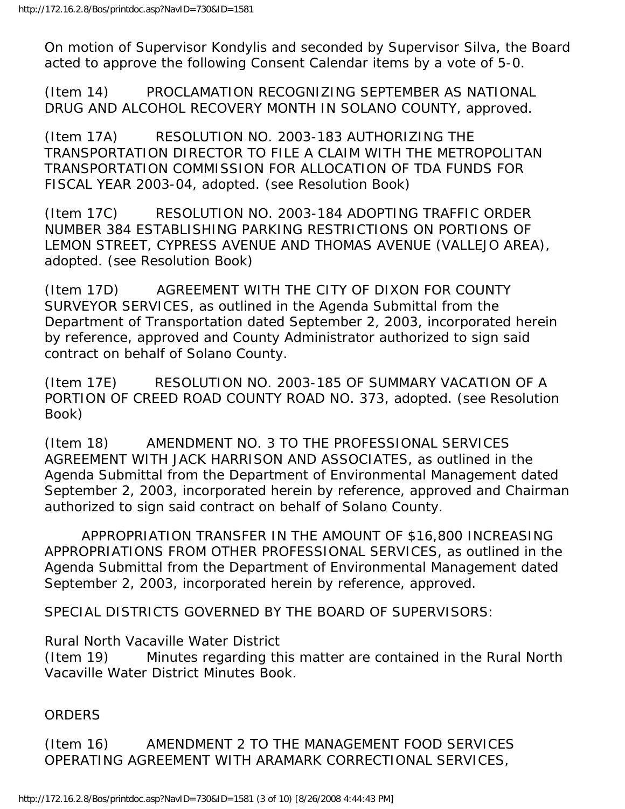On motion of Supervisor Kondylis and seconded by Supervisor Silva, the Board acted to approve the following Consent Calendar items by a vote of 5-0.

(Item 14) PROCLAMATION RECOGNIZING SEPTEMBER AS NATIONAL DRUG AND ALCOHOL RECOVERY MONTH IN SOLANO COUNTY, approved.

(Item 17A) RESOLUTION NO. 2003-183 AUTHORIZING THE TRANSPORTATION DIRECTOR TO FILE A CLAIM WITH THE METROPOLITAN TRANSPORTATION COMMISSION FOR ALLOCATION OF TDA FUNDS FOR FISCAL YEAR 2003-04, adopted. (see Resolution Book)

(Item 17C) RESOLUTION NO. 2003-184 ADOPTING TRAFFIC ORDER NUMBER 384 ESTABLISHING PARKING RESTRICTIONS ON PORTIONS OF LEMON STREET, CYPRESS AVENUE AND THOMAS AVENUE (VALLEJO AREA), adopted. (see Resolution Book)

(Item 17D) AGREEMENT WITH THE CITY OF DIXON FOR COUNTY SURVEYOR SERVICES, as outlined in the Agenda Submittal from the Department of Transportation dated September 2, 2003, incorporated herein by reference, approved and County Administrator authorized to sign said contract on behalf of Solano County.

(Item 17E) RESOLUTION NO. 2003-185 OF SUMMARY VACATION OF A PORTION OF CREED ROAD COUNTY ROAD NO. 373, adopted. (see Resolution Book)

(Item 18) AMENDMENT NO. 3 TO THE PROFESSIONAL SERVICES AGREEMENT WITH JACK HARRISON AND ASSOCIATES, as outlined in the Agenda Submittal from the Department of Environmental Management dated September 2, 2003, incorporated herein by reference, approved and Chairman authorized to sign said contract on behalf of Solano County.

 APPROPRIATION TRANSFER IN THE AMOUNT OF \$16,800 INCREASING APPROPRIATIONS FROM OTHER PROFESSIONAL SERVICES, as outlined in the Agenda Submittal from the Department of Environmental Management dated September 2, 2003, incorporated herein by reference, approved.

SPECIAL DISTRICTS GOVERNED BY THE BOARD OF SUPERVISORS:

Rural North Vacaville Water District

(Item 19) Minutes regarding this matter are contained in the Rural North Vacaville Water District Minutes Book.

#### ORDERS

(Item 16) AMENDMENT 2 TO THE MANAGEMENT FOOD SERVICES OPERATING AGREEMENT WITH ARAMARK CORRECTIONAL SERVICES,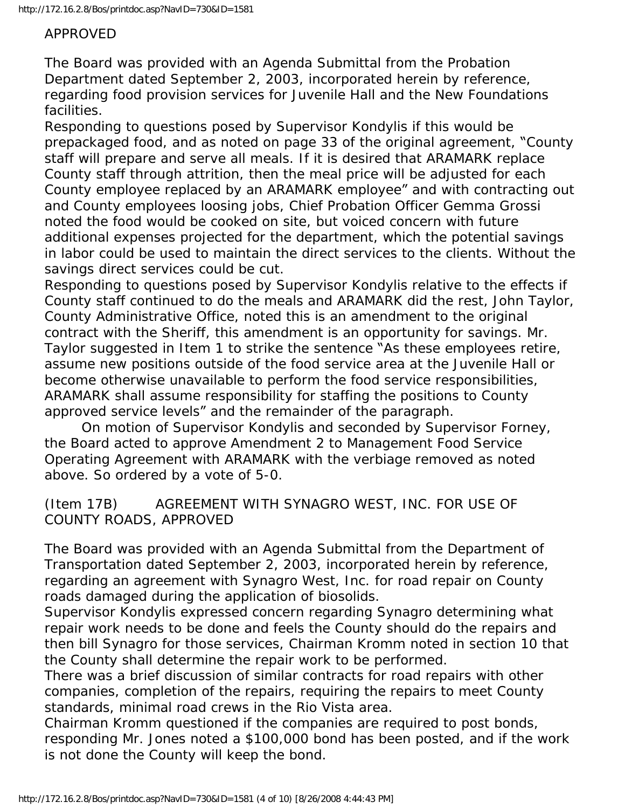#### APPROVED

The Board was provided with an Agenda Submittal from the Probation Department dated September 2, 2003, incorporated herein by reference, regarding food provision services for Juvenile Hall and the New Foundations facilities.

Responding to questions posed by Supervisor Kondylis if this would be prepackaged food, and as noted on page 33 of the original agreement, "County staff will prepare and serve all meals. If it is desired that ARAMARK replace County staff through attrition, then the meal price will be adjusted for each County employee replaced by an ARAMARK employee" and with contracting out and County employees loosing jobs, Chief Probation Officer Gemma Grossi noted the food would be cooked on site, but voiced concern with future additional expenses projected for the department, which the potential savings in labor could be used to maintain the direct services to the clients. Without the savings direct services could be cut.

Responding to questions posed by Supervisor Kondylis relative to the effects if County staff continued to do the meals and ARAMARK did the rest, John Taylor, County Administrative Office, noted this is an amendment to the original contract with the Sheriff, this amendment is an opportunity for savings. Mr. Taylor suggested in Item 1 to strike the sentence "As these employees retire, assume new positions outside of the food service area at the Juvenile Hall or become otherwise unavailable to perform the food service responsibilities, ARAMARK shall assume responsibility for staffing the positions to County approved service levels" and the remainder of the paragraph.

 On motion of Supervisor Kondylis and seconded by Supervisor Forney, the Board acted to approve Amendment 2 to Management Food Service Operating Agreement with ARAMARK with the verbiage removed as noted above. So ordered by a vote of 5-0.

(Item 17B) AGREEMENT WITH SYNAGRO WEST, INC. FOR USE OF COUNTY ROADS, APPROVED

The Board was provided with an Agenda Submittal from the Department of Transportation dated September 2, 2003, incorporated herein by reference, regarding an agreement with Synagro West, Inc. for road repair on County roads damaged during the application of biosolids.

Supervisor Kondylis expressed concern regarding Synagro determining what repair work needs to be done and feels the County should do the repairs and then bill Synagro for those services, Chairman Kromm noted in section 10 that the County shall determine the repair work to be performed.

There was a brief discussion of similar contracts for road repairs with other companies, completion of the repairs, requiring the repairs to meet County standards, minimal road crews in the Rio Vista area.

Chairman Kromm questioned if the companies are required to post bonds, responding Mr. Jones noted a \$100,000 bond has been posted, and if the work is not done the County will keep the bond.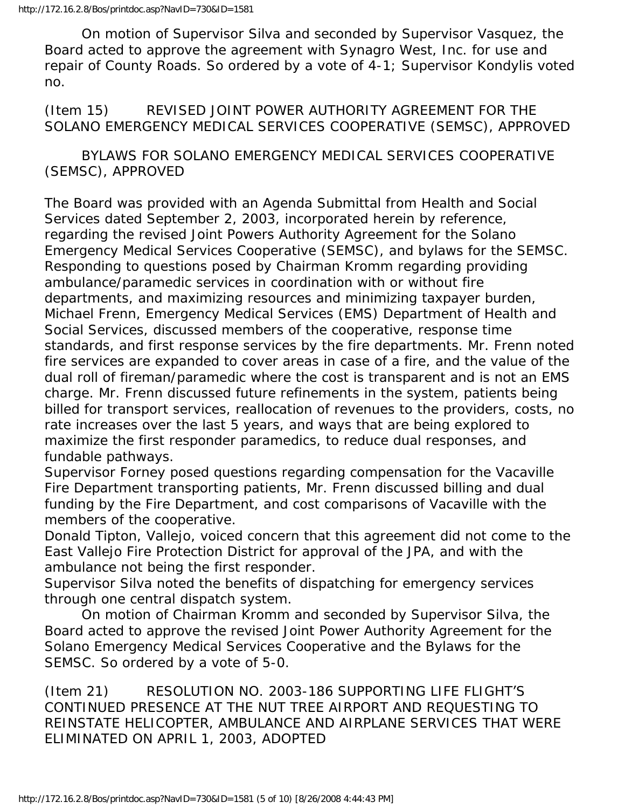On motion of Supervisor Silva and seconded by Supervisor Vasquez, the Board acted to approve the agreement with Synagro West, Inc. for use and repair of County Roads. So ordered by a vote of 4-1; Supervisor Kondylis voted no.

(Item 15) REVISED JOINT POWER AUTHORITY AGREEMENT FOR THE SOLANO EMERGENCY MEDICAL SERVICES COOPERATIVE (SEMSC), APPROVED

 BYLAWS FOR SOLANO EMERGENCY MEDICAL SERVICES COOPERATIVE (SEMSC), APPROVED

The Board was provided with an Agenda Submittal from Health and Social Services dated September 2, 2003, incorporated herein by reference, regarding the revised Joint Powers Authority Agreement for the Solano Emergency Medical Services Cooperative (SEMSC), and bylaws for the SEMSC. Responding to questions posed by Chairman Kromm regarding providing ambulance/paramedic services in coordination with or without fire departments, and maximizing resources and minimizing taxpayer burden, Michael Frenn, Emergency Medical Services (EMS) Department of Health and Social Services, discussed members of the cooperative, response time standards, and first response services by the fire departments. Mr. Frenn noted fire services are expanded to cover areas in case of a fire, and the value of the dual roll of fireman/paramedic where the cost is transparent and is not an EMS charge. Mr. Frenn discussed future refinements in the system, patients being billed for transport services, reallocation of revenues to the providers, costs, no rate increases over the last 5 years, and ways that are being explored to maximize the first responder paramedics, to reduce dual responses, and fundable pathways.

Supervisor Forney posed questions regarding compensation for the Vacaville Fire Department transporting patients, Mr. Frenn discussed billing and dual funding by the Fire Department, and cost comparisons of Vacaville with the members of the cooperative.

Donald Tipton, Vallejo, voiced concern that this agreement did not come to the East Vallejo Fire Protection District for approval of the JPA, and with the ambulance not being the first responder.

Supervisor Silva noted the benefits of dispatching for emergency services through one central dispatch system.

 On motion of Chairman Kromm and seconded by Supervisor Silva, the Board acted to approve the revised Joint Power Authority Agreement for the Solano Emergency Medical Services Cooperative and the Bylaws for the SEMSC. So ordered by a vote of 5-0.

(Item 21) RESOLUTION NO. 2003-186 SUPPORTING LIFE FLIGHT'S CONTINUED PRESENCE AT THE NUT TREE AIRPORT AND REQUESTING TO REINSTATE HELICOPTER, AMBULANCE AND AIRPLANE SERVICES THAT WERE ELIMINATED ON APRIL 1, 2003, ADOPTED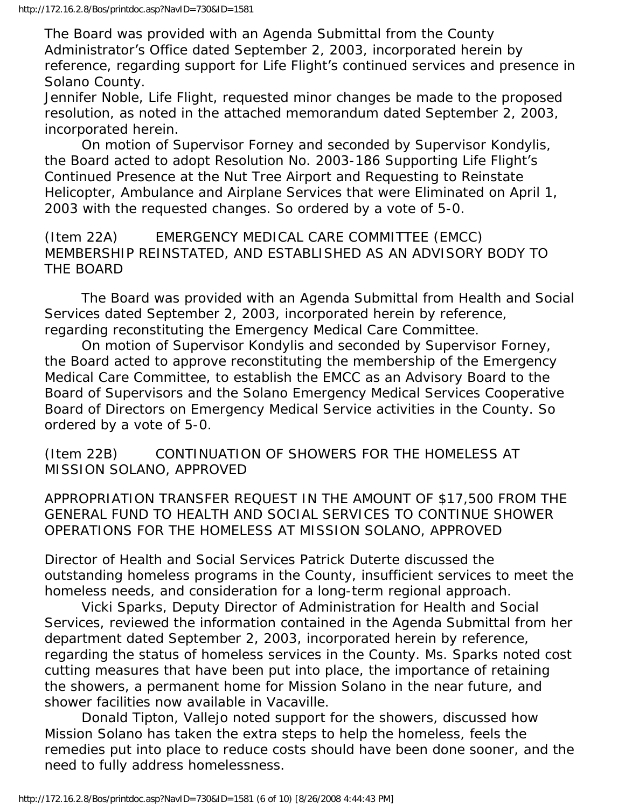The Board was provided with an Agenda Submittal from the County Administrator's Office dated September 2, 2003, incorporated herein by reference, regarding support for Life Flight's continued services and presence in Solano County.

Jennifer Noble, Life Flight, requested minor changes be made to the proposed resolution, as noted in the attached memorandum dated September 2, 2003, incorporated herein.

 On motion of Supervisor Forney and seconded by Supervisor Kondylis, the Board acted to adopt Resolution No. 2003-186 Supporting Life Flight's Continued Presence at the Nut Tree Airport and Requesting to Reinstate Helicopter, Ambulance and Airplane Services that were Eliminated on April 1, 2003 with the requested changes. So ordered by a vote of 5-0.

(Item 22A) EMERGENCY MEDICAL CARE COMMITTEE (EMCC) MEMBERSHIP REINSTATED, AND ESTABLISHED AS AN ADVISORY BODY TO THE BOARD

 The Board was provided with an Agenda Submittal from Health and Social Services dated September 2, 2003, incorporated herein by reference, regarding reconstituting the Emergency Medical Care Committee.

 On motion of Supervisor Kondylis and seconded by Supervisor Forney, the Board acted to approve reconstituting the membership of the Emergency Medical Care Committee, to establish the EMCC as an Advisory Board to the Board of Supervisors and the Solano Emergency Medical Services Cooperative Board of Directors on Emergency Medical Service activities in the County. So ordered by a vote of 5-0.

(Item 22B) CONTINUATION OF SHOWERS FOR THE HOMELESS AT MISSION SOLANO, APPROVED

APPROPRIATION TRANSFER REQUEST IN THE AMOUNT OF \$17,500 FROM THE GENERAL FUND TO HEALTH AND SOCIAL SERVICES TO CONTINUE SHOWER OPERATIONS FOR THE HOMELESS AT MISSION SOLANO, APPROVED

Director of Health and Social Services Patrick Duterte discussed the outstanding homeless programs in the County, insufficient services to meet the homeless needs, and consideration for a long-term regional approach.

 Vicki Sparks, Deputy Director of Administration for Health and Social Services, reviewed the information contained in the Agenda Submittal from her department dated September 2, 2003, incorporated herein by reference, regarding the status of homeless services in the County. Ms. Sparks noted cost cutting measures that have been put into place, the importance of retaining the showers, a permanent home for Mission Solano in the near future, and shower facilities now available in Vacaville.

 Donald Tipton, Vallejo noted support for the showers, discussed how Mission Solano has taken the extra steps to help the homeless, feels the remedies put into place to reduce costs should have been done sooner, and the need to fully address homelessness.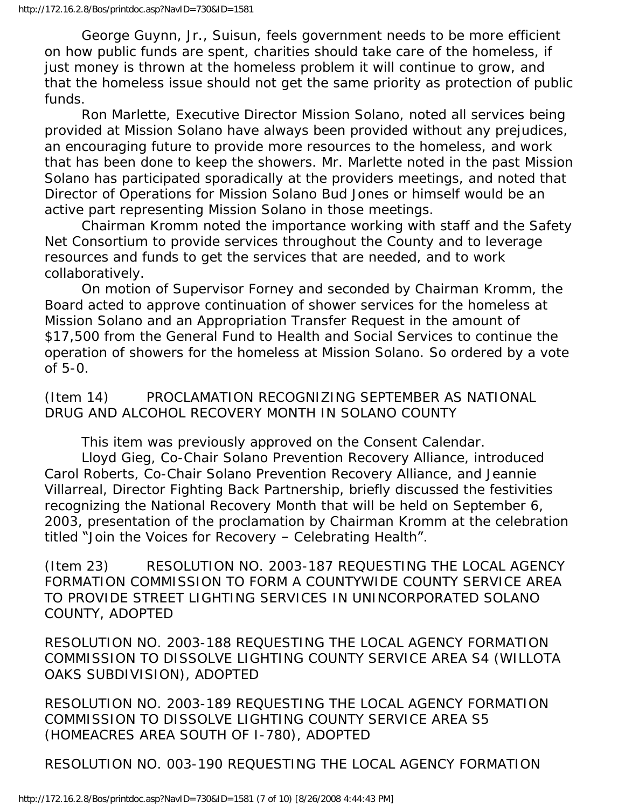George Guynn, Jr., Suisun, feels government needs to be more efficient on how public funds are spent, charities should take care of the homeless, if just money is thrown at the homeless problem it will continue to grow, and that the homeless issue should not get the same priority as protection of public funds.

 Ron Marlette, Executive Director Mission Solano, noted all services being provided at Mission Solano have always been provided without any prejudices, an encouraging future to provide more resources to the homeless, and work that has been done to keep the showers. Mr. Marlette noted in the past Mission Solano has participated sporadically at the providers meetings, and noted that Director of Operations for Mission Solano Bud Jones or himself would be an active part representing Mission Solano in those meetings.

 Chairman Kromm noted the importance working with staff and the Safety Net Consortium to provide services throughout the County and to leverage resources and funds to get the services that are needed, and to work collaboratively.

 On motion of Supervisor Forney and seconded by Chairman Kromm, the Board acted to approve continuation of shower services for the homeless at Mission Solano and an Appropriation Transfer Request in the amount of \$17,500 from the General Fund to Health and Social Services to continue the operation of showers for the homeless at Mission Solano. So ordered by a vote of 5-0.

(Item 14) PROCLAMATION RECOGNIZING SEPTEMBER AS NATIONAL DRUG AND ALCOHOL RECOVERY MONTH IN SOLANO COUNTY

This item was previously approved on the Consent Calendar.

 Lloyd Gieg, Co-Chair Solano Prevention Recovery Alliance, introduced Carol Roberts, Co-Chair Solano Prevention Recovery Alliance, and Jeannie Villarreal, Director Fighting Back Partnership, briefly discussed the festivities recognizing the National Recovery Month that will be held on September 6, 2003, presentation of the proclamation by Chairman Kromm at the celebration titled "Join the Voices for Recovery – Celebrating Health".

(Item 23) RESOLUTION NO. 2003-187 REQUESTING THE LOCAL AGENCY FORMATION COMMISSION TO FORM A COUNTYWIDE COUNTY SERVICE AREA TO PROVIDE STREET LIGHTING SERVICES IN UNINCORPORATED SOLANO COUNTY, ADOPTED

RESOLUTION NO. 2003-188 REQUESTING THE LOCAL AGENCY FORMATION COMMISSION TO DISSOLVE LIGHTING COUNTY SERVICE AREA S4 (WILLOTA OAKS SUBDIVISION), ADOPTED

RESOLUTION NO. 2003-189 REQUESTING THE LOCAL AGENCY FORMATION COMMISSION TO DISSOLVE LIGHTING COUNTY SERVICE AREA S5 (HOMEACRES AREA SOUTH OF I-780), ADOPTED

RESOLUTION NO. 003-190 REQUESTING THE LOCAL AGENCY FORMATION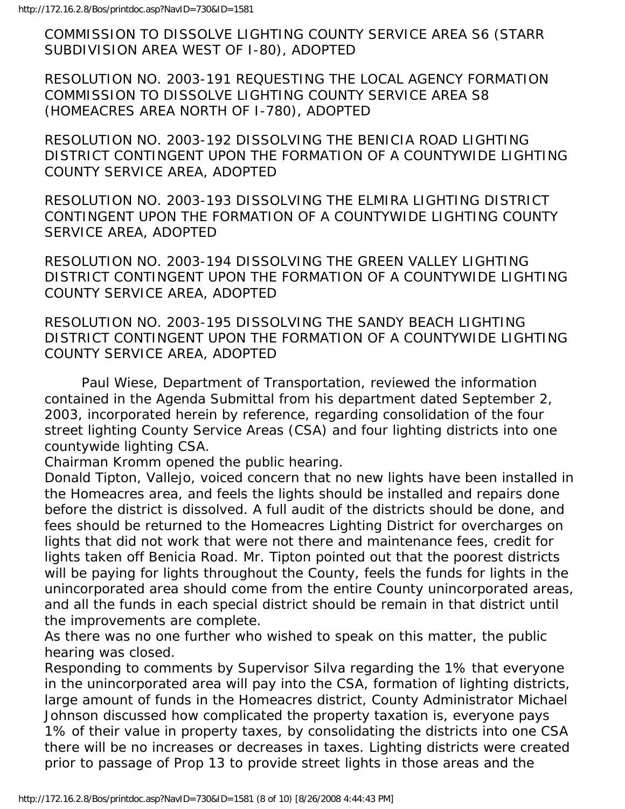COMMISSION TO DISSOLVE LIGHTING COUNTY SERVICE AREA S6 (STARR SUBDIVISION AREA WEST OF I-80), ADOPTED

RESOLUTION NO. 2003-191 REQUESTING THE LOCAL AGENCY FORMATION COMMISSION TO DISSOLVE LIGHTING COUNTY SERVICE AREA S8 (HOMEACRES AREA NORTH OF I-780), ADOPTED

RESOLUTION NO. 2003-192 DISSOLVING THE BENICIA ROAD LIGHTING DISTRICT CONTINGENT UPON THE FORMATION OF A COUNTYWIDE LIGHTING COUNTY SERVICE AREA, ADOPTED

RESOLUTION NO. 2003-193 DISSOLVING THE ELMIRA LIGHTING DISTRICT CONTINGENT UPON THE FORMATION OF A COUNTYWIDE LIGHTING COUNTY SERVICE AREA, ADOPTED

RESOLUTION NO. 2003-194 DISSOLVING THE GREEN VALLEY LIGHTING DISTRICT CONTINGENT UPON THE FORMATION OF A COUNTYWIDE LIGHTING COUNTY SERVICE AREA, ADOPTED

RESOLUTION NO. 2003-195 DISSOLVING THE SANDY BEACH LIGHTING DISTRICT CONTINGENT UPON THE FORMATION OF A COUNTYWIDE LIGHTING COUNTY SERVICE AREA, ADOPTED

 Paul Wiese, Department of Transportation, reviewed the information contained in the Agenda Submittal from his department dated September 2, 2003, incorporated herein by reference, regarding consolidation of the four street lighting County Service Areas (CSA) and four lighting districts into one countywide lighting CSA.

Chairman Kromm opened the public hearing.

Donald Tipton, Vallejo, voiced concern that no new lights have been installed in the Homeacres area, and feels the lights should be installed and repairs done before the district is dissolved. A full audit of the districts should be done, and fees should be returned to the Homeacres Lighting District for overcharges on lights that did not work that were not there and maintenance fees, credit for lights taken off Benicia Road. Mr. Tipton pointed out that the poorest districts will be paying for lights throughout the County, feels the funds for lights in the unincorporated area should come from the entire County unincorporated areas, and all the funds in each special district should be remain in that district until the improvements are complete.

As there was no one further who wished to speak on this matter, the public hearing was closed.

Responding to comments by Supervisor Silva regarding the 1% that everyone in the unincorporated area will pay into the CSA, formation of lighting districts, large amount of funds in the Homeacres district, County Administrator Michael Johnson discussed how complicated the property taxation is, everyone pays 1% of their value in property taxes, by consolidating the districts into one CSA there will be no increases or decreases in taxes. Lighting districts were created prior to passage of Prop 13 to provide street lights in those areas and the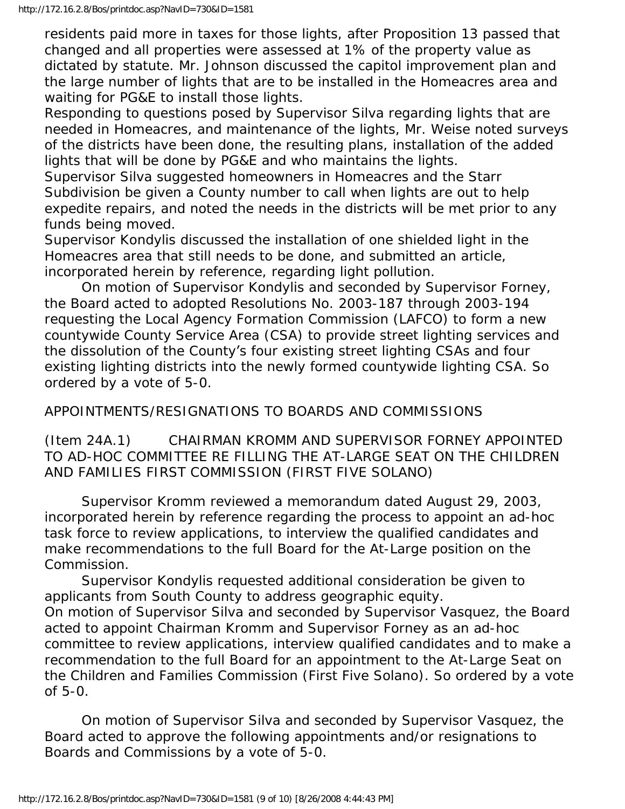residents paid more in taxes for those lights, after Proposition 13 passed that changed and all properties were assessed at 1% of the property value as dictated by statute. Mr. Johnson discussed the capitol improvement plan and the large number of lights that are to be installed in the Homeacres area and waiting for PG&E to install those lights.

Responding to questions posed by Supervisor Silva regarding lights that are needed in Homeacres, and maintenance of the lights, Mr. Weise noted surveys of the districts have been done, the resulting plans, installation of the added lights that will be done by PG&E and who maintains the lights.

Supervisor Silva suggested homeowners in Homeacres and the Starr Subdivision be given a County number to call when lights are out to help expedite repairs, and noted the needs in the districts will be met prior to any funds being moved.

Supervisor Kondylis discussed the installation of one shielded light in the Homeacres area that still needs to be done, and submitted an article, incorporated herein by reference, regarding light pollution.

 On motion of Supervisor Kondylis and seconded by Supervisor Forney, the Board acted to adopted Resolutions No. 2003-187 through 2003-194 requesting the Local Agency Formation Commission (LAFCO) to form a new countywide County Service Area (CSA) to provide street lighting services and the dissolution of the County's four existing street lighting CSAs and four existing lighting districts into the newly formed countywide lighting CSA. So ordered by a vote of 5-0.

### APPOINTMENTS/RESIGNATIONS TO BOARDS AND COMMISSIONS

(Item 24A.1) CHAIRMAN KROMM AND SUPERVISOR FORNEY APPOINTED TO AD-HOC COMMITTEE RE FILLING THE AT-LARGE SEAT ON THE CHILDREN AND FAMILIES FIRST COMMISSION (FIRST FIVE SOLANO)

 Supervisor Kromm reviewed a memorandum dated August 29, 2003, incorporated herein by reference regarding the process to appoint an ad-hoc task force to review applications, to interview the qualified candidates and make recommendations to the full Board for the At-Large position on the Commission.

 Supervisor Kondylis requested additional consideration be given to applicants from South County to address geographic equity. On motion of Supervisor Silva and seconded by Supervisor Vasquez, the Board acted to appoint Chairman Kromm and Supervisor Forney as an ad-hoc committee to review applications, interview qualified candidates and to make a recommendation to the full Board for an appointment to the At-Large Seat on the Children and Families Commission (First Five Solano). So ordered by a vote of 5-0.

 On motion of Supervisor Silva and seconded by Supervisor Vasquez, the Board acted to approve the following appointments and/or resignations to Boards and Commissions by a vote of 5-0.